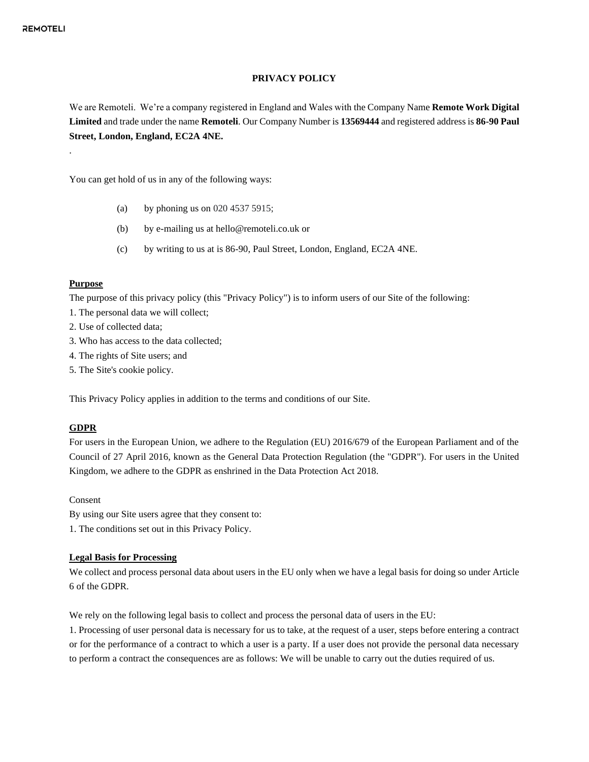#### **PRIVACY POLICY**

We are Remoteli. We're a company registered in England and Wales with the Company Name **Remote Work Digital Limited** and trade under the name **Remoteli**. Our Company Number is **13569444** and registered address is **86-90 Paul Street, London, England, EC2A 4NE.**

You can get hold of us in any of the following ways:

- (a) by phoning us on 020 4537 5915;
- (b) by e-mailing us at hello@remoteli.co.uk or
- (c) by writing to us at is 86-90, Paul Street, London, England, EC2A 4NE.

#### **Purpose**

.

The purpose of this privacy policy (this "Privacy Policy") is to inform users of our Site of the following:

- 1. The personal data we will collect;
- 2. Use of collected data;
- 3. Who has access to the data collected;
- 4. The rights of Site users; and
- 5. The Site's cookie policy.

This Privacy Policy applies in addition to the terms and conditions of our Site.

### **GDPR**

For users in the European Union, we adhere to the Regulation (EU) 2016/679 of the European Parliament and of the Council of 27 April 2016, known as the General Data Protection Regulation (the "GDPR"). For users in the United Kingdom, we adhere to the GDPR as enshrined in the Data Protection Act 2018.

Consent

By using our Site users agree that they consent to:

1. The conditions set out in this Privacy Policy.

#### **Legal Basis for Processing**

We collect and process personal data about users in the EU only when we have a legal basis for doing so under Article 6 of the GDPR.

We rely on the following legal basis to collect and process the personal data of users in the EU:

1. Processing of user personal data is necessary for us to take, at the request of a user, steps before entering a contract or for the performance of a contract to which a user is a party. If a user does not provide the personal data necessary to perform a contract the consequences are as follows: We will be unable to carry out the duties required of us.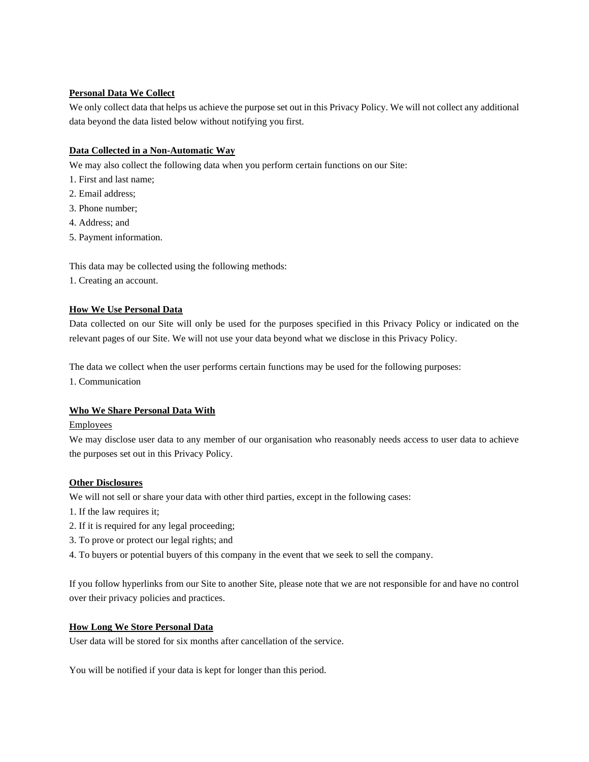# **Personal Data We Collect**

We only collect data that helps us achieve the purpose set out in this Privacy Policy. We will not collect any additional data beyond the data listed below without notifying you first.

## **Data Collected in a Non-Automatic Way**

We may also collect the following data when you perform certain functions on our Site:

- 1. First and last name;
- 2. Email address;
- 3. Phone number;
- 4. Address; and
- 5. Payment information.

This data may be collected using the following methods:

1. Creating an account.

## **How We Use Personal Data**

Data collected on our Site will only be used for the purposes specified in this Privacy Policy or indicated on the relevant pages of our Site. We will not use your data beyond what we disclose in this Privacy Policy.

The data we collect when the user performs certain functions may be used for the following purposes:

1. Communication

#### **Who We Share Personal Data With**

#### Employees

We may disclose user data to any member of our organisation who reasonably needs access to user data to achieve the purposes set out in this Privacy Policy.

#### **Other Disclosures**

We will not sell or share your data with other third parties, except in the following cases:

- 1. If the law requires it;
- 2. If it is required for any legal proceeding;
- 3. To prove or protect our legal rights; and
- 4. To buyers or potential buyers of this company in the event that we seek to sell the company.

If you follow hyperlinks from our Site to another Site, please note that we are not responsible for and have no control over their privacy policies and practices.

#### **How Long We Store Personal Data**

User data will be stored for six months after cancellation of the service.

You will be notified if your data is kept for longer than this period.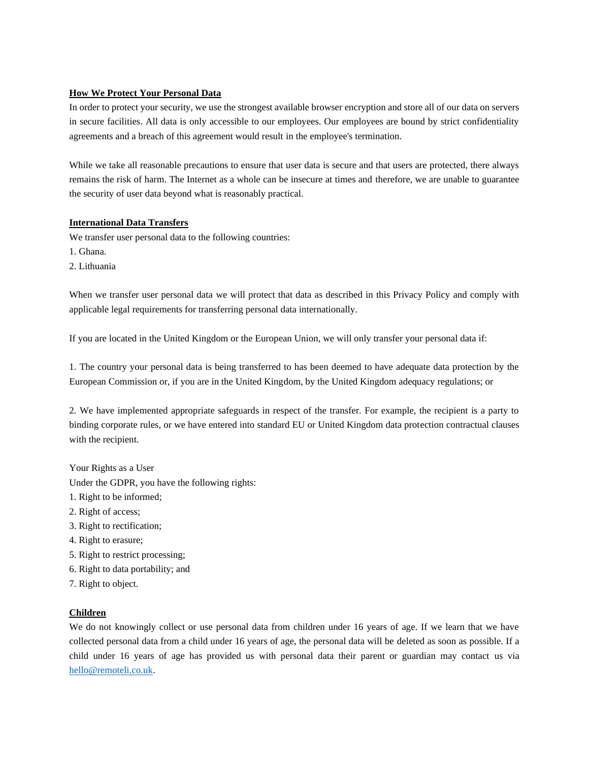# **How We Protect Your Personal Data**

In order to protect your security, we use the strongest available browser encryption and store all of our data on servers in secure facilities. All data is only accessible to our employees. Our employees are bound by strict confidentiality agreements and a breach of this agreement would result in the employee's termination.

While we take all reasonable precautions to ensure that user data is secure and that users are protected, there always remains the risk of harm. The Internet as a whole can be insecure at times and therefore, we are unable to guarantee the security of user data beyond what is reasonably practical.

#### **International Data Transfers**

We transfer user personal data to the following countries:

- 1. Ghana.
- 2. Lithuania

When we transfer user personal data we will protect that data as described in this Privacy Policy and comply with applicable legal requirements for transferring personal data internationally.

If you are located in the United Kingdom or the European Union, we will only transfer your personal data if:

1. The country your personal data is being transferred to has been deemed to have adequate data protection by the European Commission or, if you are in the United Kingdom, by the United Kingdom adequacy regulations; or

2. We have implemented appropriate safeguards in respect of the transfer. For example, the recipient is a party to binding corporate rules, or we have entered into standard EU or United Kingdom data protection contractual clauses with the recipient.

Your Rights as a User

Under the GDPR, you have the following rights:

- 1. Right to be informed;
- 2. Right of access;
- 3. Right to rectification;
- 4. Right to erasure;
- 5. Right to restrict processing;
- 6. Right to data portability; and
- 7. Right to object.

#### **Children**

We do not knowingly collect or use personal data from children under 16 years of age. If we learn that we have collected personal data from a child under 16 years of age, the personal data will be deleted as soon as possible. If a child under 16 years of age has provided us with personal data their parent or guardian may contact us via [hello@remoteli.co.uk.](mailto:hello@remoteli.co.uk)